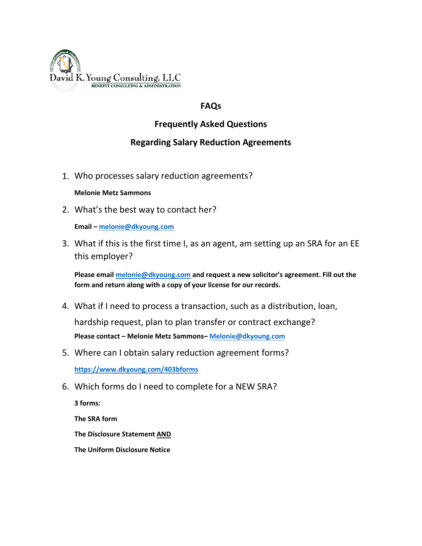

## **FAQs**

## **Frequently Asked Questions**

## **Regarding Salary Reduction Agreements**

1. Who processes salary reduction agreements?

## **Melonie Metz Sammons**

2. What's the best way to contact her?

**Email – [melonie@dkyoung.com](mailto:melonie@dkyoung.com)**

3. What if this is the first time I, as an agent, am setting up an SRA for an EE this employer?

**Please emai[l melonie@dkyoung.com](mailto:melonie@dkyoung.com) and request a new solicitor's agreement. Fill out the form and return along with a copy of your license for our records.**

- 4. What if I need to process a transaction, such as a distribution, loan, hardship request, plan to plan transfer or contract exchange? **Please contact – Melonie Metz Sammons– [Melonie@dkyo](mailto:Melonie@dkyoung.com)ung.com**
- 5. Where can I obtain salary reduction agreement forms? **<https://www.dkyoung.com/403bforms>**
- 6. Which forms do I need to complete for a NEW SRA?

**3 forms:**

**The SRA form**

**The Disclosure Statement AND**

**The Uniform Disclosure Notice**